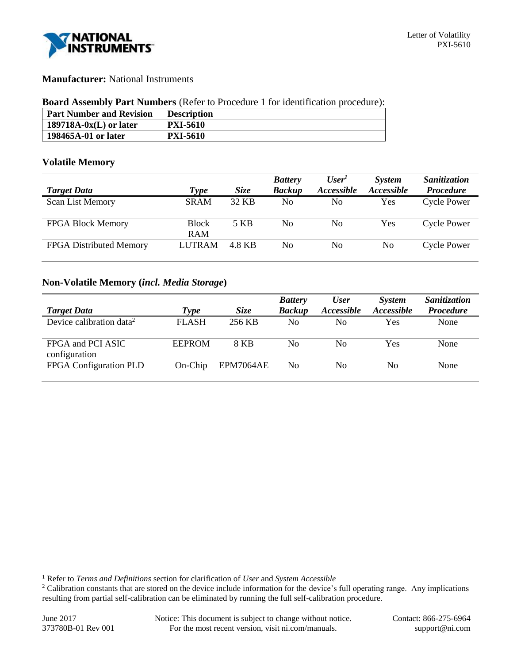

## **Manufacturer:** National Instruments

#### **Board Assembly Part Numbers** (Refer to Procedure 1 for identification procedure):

| <b>Part Number and Revision</b> | <b>Description</b> |
|---------------------------------|--------------------|
| $189718A-0x(L)$ or later        | <b>PXI-5610</b>    |
| 198465A-01 or later             | <b>PXI-5610</b>    |

### **Volatile Memory**

|                                |                            |        | <b>Battery</b> | User <sup>T</sup> | <b>System</b> | Sanitization       |
|--------------------------------|----------------------------|--------|----------------|-------------------|---------------|--------------------|
| <b>Target Data</b>             | Type                       | Size   | <b>Backup</b>  | <i>Accessible</i> | Accessible    | <b>Procedure</b>   |
| <b>Scan List Memory</b>        | <b>SRAM</b>                | 32 KB  | No             | No                | Yes           | <b>Cycle Power</b> |
| <b>FPGA Block Memory</b>       | <b>Block</b><br><b>RAM</b> | 5 KB   | No             | No                | Yes           | <b>Cycle Power</b> |
| <b>FPGA</b> Distributed Memory | <b>LUTRAM</b>              | 4.8 KB | No             | No                | No.           | <b>Cycle Power</b> |

# **Non-Volatile Memory (***incl. Media Storage***)**

|                                      |               |           | <b>Battery</b> | <b>User</b> | <b>System</b>            | Sanitization     |
|--------------------------------------|---------------|-----------|----------------|-------------|--------------------------|------------------|
| <b>Target Data</b>                   | Type          | Size      | <b>Backup</b>  | Accessible  | <i><b>Accessible</b></i> | <b>Procedure</b> |
| Device calibration data <sup>2</sup> | <b>FLASH</b>  | 256 KB    | No             | No          | Yes                      | None             |
| FPGA and PCI ASIC<br>configuration   | <b>EEPROM</b> | 8 KB      | No             | No          | Yes                      | None             |
| FPGA Configuration PLD               | $On-Chip$     | EPM7064AE | No.            | No          | No                       | None             |

l

<sup>1</sup> Refer to *Terms and Definitions* section for clarification of *User* and *System Accessible*

<sup>&</sup>lt;sup>2</sup> Calibration constants that are stored on the device include information for the device's full operating range. Any implications resulting from partial self-calibration can be eliminated by running the full self-calibration procedure.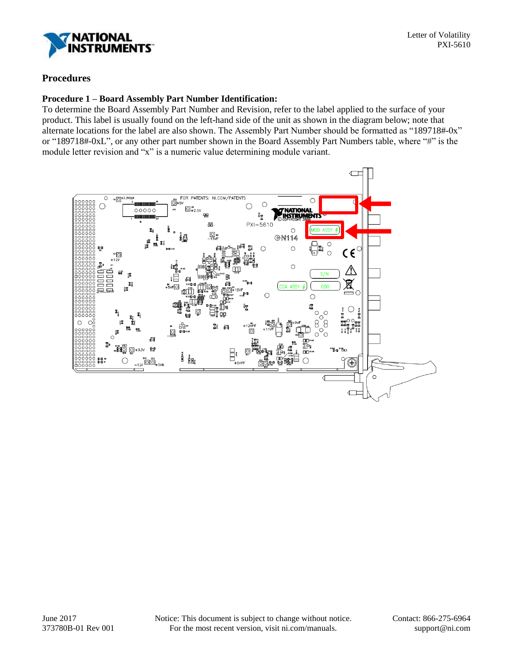

# **Procedures**

#### **Procedure 1 – Board Assembly Part Number Identification:**

To determine the Board Assembly Part Number and Revision, refer to the label applied to the surface of your product. This label is usually found on the left-hand side of the unit as shown in the diagram below; note that alternate locations for the label are also shown. The Assembly Part Number should be formatted as "189718#-0x" or "189718#-0xL", or any other part number shown in the Board Assembly Part Numbers table, where "#" is the module letter revision and "x" is a numeric value determining module variant.